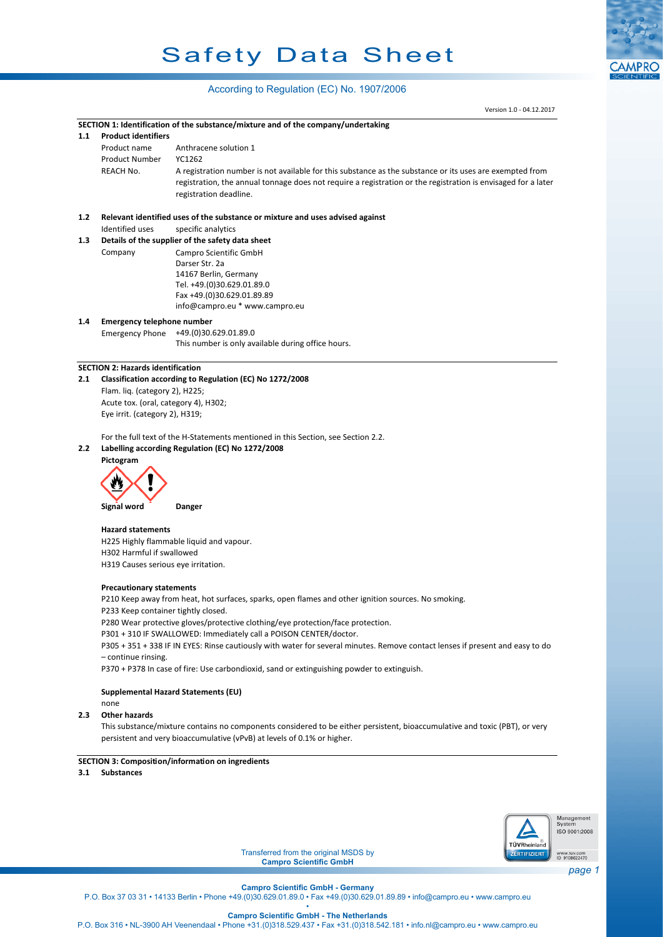# Safety Data Sheet

# According to Regulation (EC) No. 1907/2006

|     |                                                                                                                               | Version 1.0 - 04.12.2017                                                                                                              |                              |  |  |  |  |
|-----|-------------------------------------------------------------------------------------------------------------------------------|---------------------------------------------------------------------------------------------------------------------------------------|------------------------------|--|--|--|--|
|     |                                                                                                                               | SECTION 1: Identification of the substance/mixture and of the company/undertaking                                                     |                              |  |  |  |  |
| 1.1 | <b>Product identifiers</b>                                                                                                    |                                                                                                                                       |                              |  |  |  |  |
|     | Product name                                                                                                                  | Anthracene solution 1                                                                                                                 |                              |  |  |  |  |
|     | <b>Product Number</b>                                                                                                         | YC1262                                                                                                                                |                              |  |  |  |  |
|     | REACH No.                                                                                                                     | A registration number is not available for this substance as the substance or its uses are exempted from                              |                              |  |  |  |  |
|     |                                                                                                                               | registration, the annual tonnage does not require a registration or the registration is envisaged for a later                         |                              |  |  |  |  |
|     |                                                                                                                               | registration deadline.                                                                                                                |                              |  |  |  |  |
|     |                                                                                                                               |                                                                                                                                       |                              |  |  |  |  |
| 1.2 |                                                                                                                               | Relevant identified uses of the substance or mixture and uses advised against                                                         |                              |  |  |  |  |
|     | Identified uses                                                                                                               | specific analytics                                                                                                                    |                              |  |  |  |  |
| 1.3 |                                                                                                                               | Details of the supplier of the safety data sheet                                                                                      |                              |  |  |  |  |
|     | Company                                                                                                                       | Campro Scientific GmbH                                                                                                                |                              |  |  |  |  |
|     |                                                                                                                               | Darser Str. 2a                                                                                                                        |                              |  |  |  |  |
|     |                                                                                                                               | 14167 Berlin, Germany                                                                                                                 |                              |  |  |  |  |
|     |                                                                                                                               | Tel. +49.(0)30.629.01.89.0                                                                                                            |                              |  |  |  |  |
|     |                                                                                                                               | Fax +49.(0)30.629.01.89.89<br>info@campro.eu * www.campro.eu                                                                          |                              |  |  |  |  |
|     |                                                                                                                               |                                                                                                                                       |                              |  |  |  |  |
| 1.4 | <b>Emergency telephone number</b>                                                                                             | +49.(0)30.629.01.89.0                                                                                                                 |                              |  |  |  |  |
|     | <b>Emergency Phone</b>                                                                                                        | This number is only available during office hours.                                                                                    |                              |  |  |  |  |
|     |                                                                                                                               |                                                                                                                                       |                              |  |  |  |  |
|     | <b>SECTION 2: Hazards identification</b>                                                                                      |                                                                                                                                       |                              |  |  |  |  |
| 2.1 |                                                                                                                               | Classification according to Regulation (EC) No 1272/2008                                                                              |                              |  |  |  |  |
|     | Flam. liq. (category 2), H225;                                                                                                |                                                                                                                                       |                              |  |  |  |  |
|     | Acute tox. (oral, category 4), H302;                                                                                          |                                                                                                                                       |                              |  |  |  |  |
|     | Eye irrit. (category 2), H319;                                                                                                |                                                                                                                                       |                              |  |  |  |  |
|     |                                                                                                                               |                                                                                                                                       |                              |  |  |  |  |
| 2.2 |                                                                                                                               | For the full text of the H-Statements mentioned in this Section, see Section 2.2.<br>Labelling according Regulation (EC) No 1272/2008 |                              |  |  |  |  |
|     | Pictogram                                                                                                                     |                                                                                                                                       |                              |  |  |  |  |
|     |                                                                                                                               |                                                                                                                                       |                              |  |  |  |  |
|     |                                                                                                                               |                                                                                                                                       |                              |  |  |  |  |
|     |                                                                                                                               |                                                                                                                                       |                              |  |  |  |  |
|     | Signal word                                                                                                                   | Danger                                                                                                                                |                              |  |  |  |  |
|     | <b>Hazard statements</b>                                                                                                      |                                                                                                                                       |                              |  |  |  |  |
|     |                                                                                                                               | H225 Highly flammable liquid and vapour.                                                                                              |                              |  |  |  |  |
|     | H302 Harmful if swallowed                                                                                                     |                                                                                                                                       |                              |  |  |  |  |
|     | H319 Causes serious eye irritation.                                                                                           |                                                                                                                                       |                              |  |  |  |  |
|     |                                                                                                                               |                                                                                                                                       |                              |  |  |  |  |
|     | <b>Precautionary statements</b>                                                                                               |                                                                                                                                       |                              |  |  |  |  |
|     |                                                                                                                               | P210 Keep away from heat, hot surfaces, sparks, open flames and other ignition sources. No smoking.                                   |                              |  |  |  |  |
|     | P233 Keep container tightly closed.                                                                                           |                                                                                                                                       |                              |  |  |  |  |
|     |                                                                                                                               | P280 Wear protective gloves/protective clothing/eye protection/face protection.                                                       |                              |  |  |  |  |
|     |                                                                                                                               | P301 + 310 IF SWALLOWED: Immediately call a POISON CENTER/doctor.                                                                     |                              |  |  |  |  |
|     | P305 + 351 + 338 IF IN EYES: Rinse cautiously with water for several minutes. Remove contact lenses if present and easy to do |                                                                                                                                       |                              |  |  |  |  |
|     | - continue rinsing.                                                                                                           |                                                                                                                                       |                              |  |  |  |  |
|     | P370 + P378 In case of fire: Use carbondioxid, sand or extinguishing powder to extinguish.                                    |                                                                                                                                       |                              |  |  |  |  |
|     | <b>Supplemental Hazard Statements (EU)</b>                                                                                    |                                                                                                                                       |                              |  |  |  |  |
|     | none                                                                                                                          |                                                                                                                                       |                              |  |  |  |  |
| 2.3 | <b>Other hazards</b>                                                                                                          |                                                                                                                                       |                              |  |  |  |  |
|     |                                                                                                                               | This substance/mixture contains no components considered to be either persistent, bioaccumulative and toxic (PBT), or very            |                              |  |  |  |  |
|     |                                                                                                                               | persistent and very bioaccumulative (vPvB) at levels of 0.1% or higher.                                                               |                              |  |  |  |  |
|     |                                                                                                                               |                                                                                                                                       |                              |  |  |  |  |
|     |                                                                                                                               | <b>SECTION 3: Composition/information on ingredients</b>                                                                              |                              |  |  |  |  |
| 3.1 | <b>Substances</b>                                                                                                             |                                                                                                                                       |                              |  |  |  |  |
|     |                                                                                                                               |                                                                                                                                       |                              |  |  |  |  |
|     |                                                                                                                               |                                                                                                                                       |                              |  |  |  |  |
|     |                                                                                                                               |                                                                                                                                       | Management                   |  |  |  |  |
|     |                                                                                                                               |                                                                                                                                       | System<br>ISO 9001:2008      |  |  |  |  |
|     |                                                                                                                               | TÜVRheinland                                                                                                                          |                              |  |  |  |  |
|     |                                                                                                                               | Transferred from the original MSDS by<br><b>ZERTIFIZIERT</b>                                                                          | www.tuv.com<br>ID 9108622470 |  |  |  |  |



Transferred from the original MSDS by **Campro Scientific GmbH**

*page 1*

**Campro Scientific GmbH - Germany**

P.O. Box 37 03 31 • 14133 Berlin • Phone +49.(0)30.629.01.89.0 • Fax +49.(0)30.629.01.89.89 • info@campro.eu •<www.campro.eu>

• **Campro Scientific GmbH - The Netherlands**

P.O. Box 316 • NL-3900 AH Veenendaal • Phone +31.(0)318.529.437 • Fax +31.(0)318.542.181 • info.nl@campro.eu • <www.campro.eu>

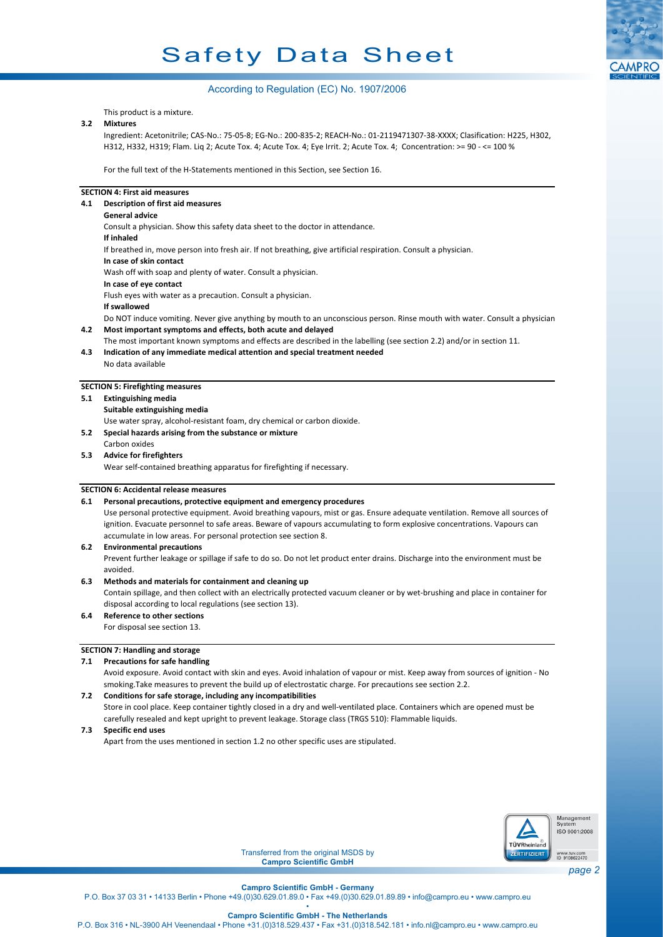# Safety Data Sheet



# According to Regulation (EC) No. 1907/2006

This product is a mixture.

#### **3.2 Mixtures**

Ingredient: Acetonitrile; CAS-No.: 75-05-8; EG-No.: 200-835-2; REACH-No.: 01-2119471307-38-XXXX; Clasification: H225, H302, H312, H332, H319; Flam. Liq 2; Acute Tox. 4; Acute Tox. 4; Eye Irrit. 2; Acute Tox. 4; Concentration: >= 90 - <= 100 %

For the full text of the H-Statements mentioned in this Section, see Section 16.

#### **SECTION 4: First aid measures**

**4.1 Description of first aid measures**

# **General advice**

Consult a physician. Show this safety data sheet to the doctor in attendance. **If inhaled** If breathed in, move person into fresh air. If not breathing, give artificial respiration. Consult a physician. **In case of skin contact** Wash off with soap and plenty of water. Consult a physician. **In case of eye contact** Flush eyes with water as a precaution. Consult a physician. **If swallowed** Do NOT induce vomiting. Never give anything by mouth to an unconscious person. Rinse mouth with water. Consult a physician. **4.2 Most important symptoms and effects, both acute and delayed** The most important known symptoms and effects are described in the labelling (see section 2.2) and/or in section 11. **4.3 Indication of any immediate medical attention and special treatment needed**

### **SECTION 5: Firefighting measures**

No data available

**5.1 Extinguishing media**

**Suitable extinguishing media**

Use water spray, alcohol-resistant foam, dry chemical or carbon dioxide.

- **5.2 Special hazards arising from the substance or mixture**
- Carbon oxides **5.3 Advice for firefighters**

Wear self-contained breathing apparatus for firefighting if necessary.

#### **SECTION 6: Accidental release measures**

#### **6.1 Personal precautions, protective equipment and emergency procedures**

Use personal protective equipment. Avoid breathing vapours, mist or gas. Ensure adequate ventilation. Remove all sources of ignition. Evacuate personnel to safe areas. Beware of vapours accumulating to form explosive concentrations. Vapours can accumulate in low areas. For personal protection see section 8.

#### **6.2 Environmental precautions**

Prevent further leakage or spillage if safe to do so. Do not let product enter drains. Discharge into the environment must be avoided.

#### **6.3 Methods and materials for containment and cleaning up**

Contain spillage, and then collect with an electrically protected vacuum cleaner or by wet-brushing and place in container for disposal according to local regulations (see section 13).

# **6.4 Reference to other sections**

For disposal see section 13.

# **SECTION 7: Handling and storage**

# **7.1 Precautions for safe handling**

Avoid exposure. Avoid contact with skin and eyes. Avoid inhalation of vapour or mist. Keep away from sources of ignition - No smoking.Take measures to prevent the build up of electrostatic charge. For precautions see section 2.2.

#### **7.2 Conditions for safe storage, including any incompatibilities**

Store in cool place. Keep container tightly closed in a dry and well-ventilated place. Containers which are opened must be carefully resealed and kept upright to prevent leakage. Storage class (TRGS 510): Flammable liquids.

**7.3 Specific end uses**

Apart from the uses mentioned in section 1.2 no other specific uses are stipulated.



Transferred from the original MSDS by **Campro Scientific GmbH**

**Campro Scientific GmbH - Germany**

P.O. Box 37 03 31 • 14133 Berlin • Phone +49.(0)30.629.01.89.0 • Fax +49.(0)30.629.01.89.89 • info@campro.eu • www.campro.eu •

**Campro Scientific GmbH - The Netherlands**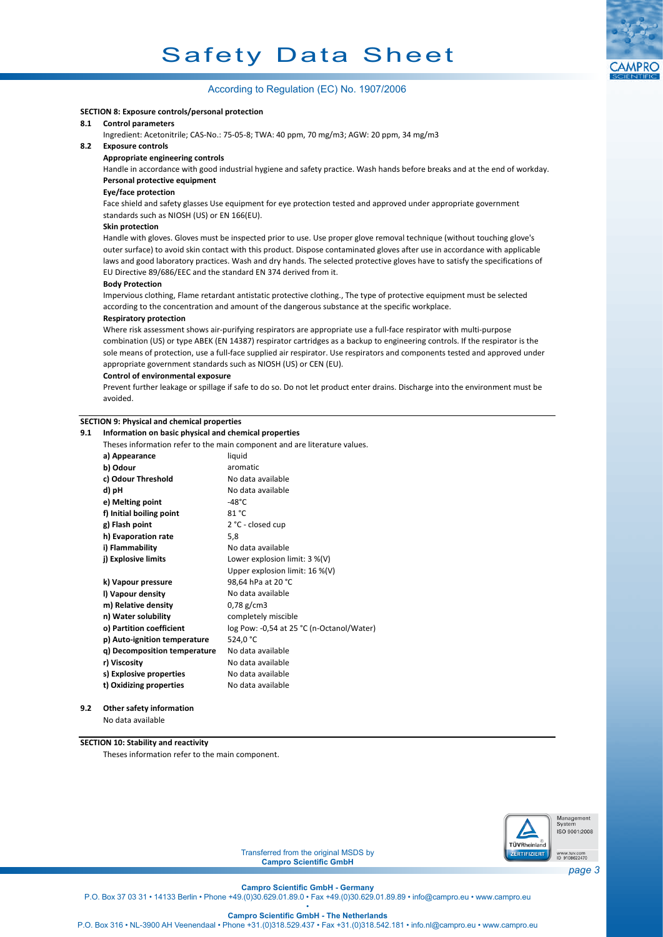# According to Regulation (EC) No. 1907/2006

#### **SECTION 8: Exposure controls/personal protection**

#### **8.1 Control parameters**

Ingredient: Acetonitrile; CAS-No.: 75-05-8; TWA: 40 ppm, 70 mg/m3; AGW: 20 ppm, 34 mg/m3

#### **8.2 Exposure controls**

#### **Appropriate engineering controls**

Handle in accordance with good industrial hygiene and safety practice. Wash hands before breaks and at the end of workday. **Personal protective equipment**

#### **Eye/face protection**

Face shield and safety glasses Use equipment for eye protection tested and approved under appropriate government standards such as NIOSH (US) or EN 166(EU).

#### **Skin protection**

Handle with gloves. Gloves must be inspected prior to use. Use proper glove removal technique (without touching glove's outer surface) to avoid skin contact with this product. Dispose contaminated gloves after use in accordance with applicable laws and good laboratory practices. Wash and dry hands. The selected protective gloves have to satisfy the specifications of EU Directive 89/686/EEC and the standard EN 374 derived from it.

#### **Body Protection**

Impervious clothing, Flame retardant antistatic protective clothing., The type of protective equipment must be selected according to the concentration and amount of the dangerous substance at the specific workplace.

#### **Respiratory protection**

Where risk assessment shows air-purifying respirators are appropriate use a full-face respirator with multi-purpose combination (US) or type ABEK (EN 14387) respirator cartridges as a backup to engineering controls. If the respirator is the sole means of protection, use a full-face supplied air respirator. Use respirators and components tested and approved under appropriate government standards such as NIOSH (US) or CEN (EU).

#### **Control of environmental exposure**

Prevent further leakage or spillage if safe to do so. Do not let product enter drains. Discharge into the environment must be avoided.

### **SECTION 9: Physical and chemical properties**

#### **9.1 Information on basic physical and chemical properties**

|                              | Theses information refer to the main component and are literature values. |  |  |  |  |  |  |
|------------------------------|---------------------------------------------------------------------------|--|--|--|--|--|--|
| a) Appearance                | liquid                                                                    |  |  |  |  |  |  |
| b) Odour                     | aromatic                                                                  |  |  |  |  |  |  |
| c) Odour Threshold           | No data available                                                         |  |  |  |  |  |  |
| d) pH                        | No data available                                                         |  |  |  |  |  |  |
| e) Melting point             | $-48^{\circ}$ C                                                           |  |  |  |  |  |  |
| f) Initial boiling point     | 81 °C                                                                     |  |  |  |  |  |  |
| g) Flash point               | 2 °C - closed cup                                                         |  |  |  |  |  |  |
| h) Evaporation rate          | 5,8                                                                       |  |  |  |  |  |  |
| i) Flammability              | No data available                                                         |  |  |  |  |  |  |
| j) Explosive limits          | Lower explosion limit: $3\%$ (V)                                          |  |  |  |  |  |  |
|                              | Upper explosion limit: 16 %(V)                                            |  |  |  |  |  |  |
| k) Vapour pressure           | 98,64 hPa at 20 °C                                                        |  |  |  |  |  |  |
| I) Vapour density            | No data available                                                         |  |  |  |  |  |  |
| m) Relative density          | $0,78 \text{ g/cm}$ 3                                                     |  |  |  |  |  |  |
| n) Water solubility          | completely miscible                                                       |  |  |  |  |  |  |
| o) Partition coefficient     | log Pow: -0,54 at 25 °C (n-Octanol/Water)                                 |  |  |  |  |  |  |
| p) Auto-ignition temperature | 524,0 °C                                                                  |  |  |  |  |  |  |
| q) Decomposition temperature | No data available                                                         |  |  |  |  |  |  |
| r) Viscosity                 | No data available                                                         |  |  |  |  |  |  |
| s) Explosive properties      | No data available                                                         |  |  |  |  |  |  |
| t) Oxidizing properties      | No data available                                                         |  |  |  |  |  |  |

**9.2 Other safety information**

No data available

#### **SECTION 10: Stability and reactivity**

Theses information refer to the main component.



Transferred from the original MSDS by **Campro Scientific GmbH**

*page 3*

**Campro Scientific GmbH - Germany** P.O. Box 37 03 31 • 14133 Berlin • Phone +49.(0)30.629.01.89.0 • Fax +49.(0)30.629.01.89.89 • info@campro.eu • www.campro.eu •

**Campro Scientific GmbH - The Netherlands**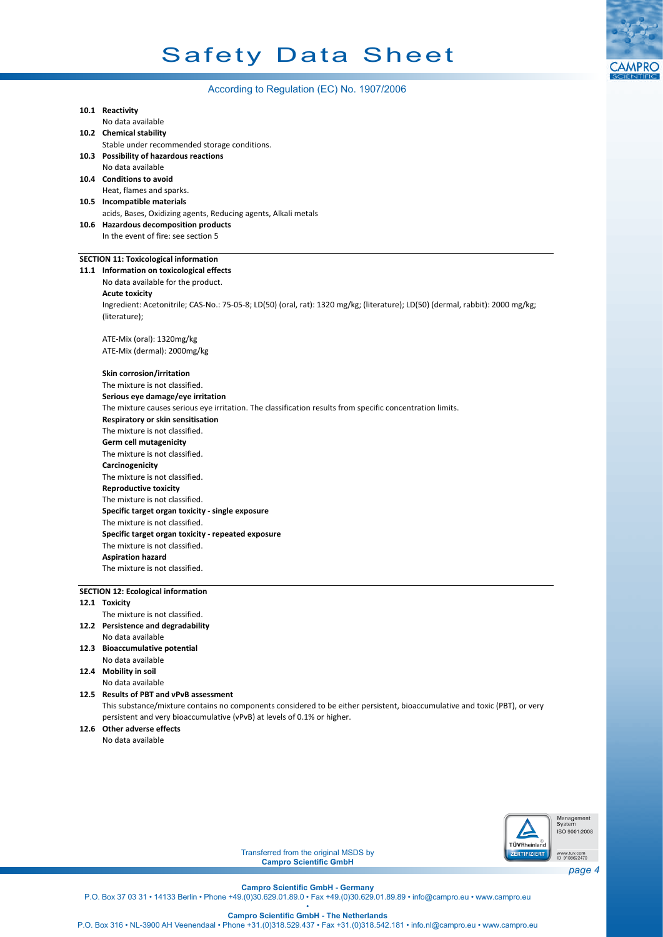# According to Regulation (EC) No. 1907/2006

| 10.1 Reactivity                                                                                                                                |  |  |  |  |  |
|------------------------------------------------------------------------------------------------------------------------------------------------|--|--|--|--|--|
| No data available                                                                                                                              |  |  |  |  |  |
| 10.2 Chemical stability                                                                                                                        |  |  |  |  |  |
| Stable under recommended storage conditions.                                                                                                   |  |  |  |  |  |
| 10.3 Possibility of hazardous reactions                                                                                                        |  |  |  |  |  |
| No data available                                                                                                                              |  |  |  |  |  |
| 10.4 Conditions to avoid                                                                                                                       |  |  |  |  |  |
| Heat, flames and sparks.                                                                                                                       |  |  |  |  |  |
| 10.5 Incompatible materials                                                                                                                    |  |  |  |  |  |
| acids, Bases, Oxidizing agents, Reducing agents, Alkali metals                                                                                 |  |  |  |  |  |
| 10.6 Hazardous decomposition products                                                                                                          |  |  |  |  |  |
| In the event of fire: see section 5                                                                                                            |  |  |  |  |  |
| <b>SECTION 11: Toxicological information</b>                                                                                                   |  |  |  |  |  |
| 11.1 Information on toxicological effects                                                                                                      |  |  |  |  |  |
| No data available for the product.                                                                                                             |  |  |  |  |  |
| <b>Acute toxicity</b>                                                                                                                          |  |  |  |  |  |
| Ingredient: Acetonitrile; CAS-No.: 75-05-8; LD(50) (oral, rat): 1320 mg/kg; (literature); LD(50) (dermal, rabbit): 2000 mg/kg;                 |  |  |  |  |  |
| (literature);                                                                                                                                  |  |  |  |  |  |
|                                                                                                                                                |  |  |  |  |  |
| ATE-Mix (oral): 1320mg/kg                                                                                                                      |  |  |  |  |  |
| ATE-Mix (dermal): 2000mg/kg                                                                                                                    |  |  |  |  |  |
| <b>Skin corrosion/irritation</b>                                                                                                               |  |  |  |  |  |
| The mixture is not classified.                                                                                                                 |  |  |  |  |  |
| Serious eye damage/eye irritation                                                                                                              |  |  |  |  |  |
|                                                                                                                                                |  |  |  |  |  |
| The mixture causes serious eye irritation. The classification results from specific concentration limits.<br>Respiratory or skin sensitisation |  |  |  |  |  |
|                                                                                                                                                |  |  |  |  |  |
| The mixture is not classified.<br><b>Germ cell mutagenicity</b>                                                                                |  |  |  |  |  |
| The mixture is not classified.                                                                                                                 |  |  |  |  |  |
| Carcinogenicity                                                                                                                                |  |  |  |  |  |
| The mixture is not classified.                                                                                                                 |  |  |  |  |  |
| <b>Reproductive toxicity</b>                                                                                                                   |  |  |  |  |  |
| The mixture is not classified.                                                                                                                 |  |  |  |  |  |
| Specific target organ toxicity - single exposure                                                                                               |  |  |  |  |  |
| The mixture is not classified.                                                                                                                 |  |  |  |  |  |
| Specific target organ toxicity - repeated exposure                                                                                             |  |  |  |  |  |
| The mixture is not classified.                                                                                                                 |  |  |  |  |  |
| <b>Aspiration hazard</b>                                                                                                                       |  |  |  |  |  |
| The mixture is not classified.                                                                                                                 |  |  |  |  |  |
|                                                                                                                                                |  |  |  |  |  |
| <b>SECTION 12: Ecological information</b>                                                                                                      |  |  |  |  |  |
| 12.1 Toxicity                                                                                                                                  |  |  |  |  |  |
| The mixture is not classified.                                                                                                                 |  |  |  |  |  |
| 12.2 Persistence and degradability                                                                                                             |  |  |  |  |  |
| No data available                                                                                                                              |  |  |  |  |  |
| 12.3 Bioaccumulative potential                                                                                                                 |  |  |  |  |  |

No data available **12.4 Mobility in soil**

No data available

**12.5 Results of PBT and vPvB assessment** This substance/mixture contains no components considered to be either persistent, bioaccumulative and toxic (PBT), or very persistent and very bioaccumulative (vPvB) at levels of 0.1% or higher.

**12.6 Other adverse effects**

No data available



Transferred from the original MSDS by **Campro Scientific GmbH**

*page 4*

**CAMPRC** 

**Campro Scientific GmbH - Germany** P.O. Box 37 03 31 • 14133 Berlin • Phone +49.(0)30.629.01.89.0 • Fax +49.(0)30.629.01.89.89 • info@campro.eu • www.campro.eu •

**Campro Scientific GmbH - The Netherlands**